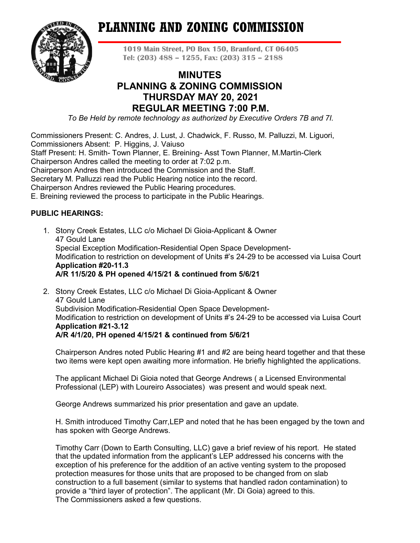# **PLANNING AND ZONING COMMISSION**



**1019 Main Street, PO Box 150, Branford, CT 06405 Tel: (203) 488 – 1255, Fax: (203) 315 – 2188**

# **MINUTES PLANNING & ZONING COMMISSION THURSDAY MAY 20, 2021 REGULAR MEETING 7:00 P.M.**

*To Be Held by remote technology as authorized by Executive Orders 7B and 7I.*

Commissioners Present: C. Andres, J. Lust, J. Chadwick, F. Russo, M. Palluzzi, M. Liguori, Commissioners Absent: P. Higgins, J. Vaiuso

Staff Present: H. Smith- Town Planner, E. Breining- Asst Town Planner, M.Martin-Clerk Chairperson Andres called the meeting to order at 7:02 p.m.

Chairperson Andres then introduced the Commission and the Staff.

Secretary M. Palluzzi read the Public Hearing notice into the record.

Chairperson Andres reviewed the Public Hearing procedures.

E. Breining reviewed the process to participate in the Public Hearings.

# **PUBLIC HEARINGS:**

1. Stony Creek Estates, LLC c/o Michael Di Gioia-Applicant & Owner 47 Gould Lane Special Exception Modification-Residential Open Space Development-Modification to restriction on development of Units #'s 24-29 to be accessed via Luisa Court **Application #20-11.3 A/R 11/5/20 & PH opened 4/15/21 & continued from 5/6/21**

2. Stony Creek Estates, LLC c/o Michael Di Gioia-Applicant & Owner 47 Gould Lane Subdivision Modification-Residential Open Space Development-Modification to restriction on development of Units #'s 24-29 to be accessed via Luisa Court **Application #21-3.12 A/R 4/1/20, PH opened 4/15/21 & continued from 5/6/21**

Chairperson Andres noted Public Hearing #1 and #2 are being heard together and that these two items were kept open awaiting more information. He briefly highlighted the applications.

The applicant Michael Di Gioia noted that George Andrews ( a Licensed Environmental Professional (LEP) with Loureiro Associates) was present and would speak next.

George Andrews summarized his prior presentation and gave an update.

H. Smith introduced Timothy Carr,LEP and noted that he has been engaged by the town and has spoken with George Andrews.

Timothy Carr (Down to Earth Consulting, LLC) gave a brief review of his report. He stated that the updated information from the applicant's LEP addressed his concerns with the exception of his preference for the addition of an active venting system to the proposed protection measures for those units that are proposed to be changed from on slab construction to a full basement (similar to systems that handled radon contamination) to provide a "third layer of protection". The applicant (Mr. Di Goia) agreed to this. The Commissioners asked a few questions.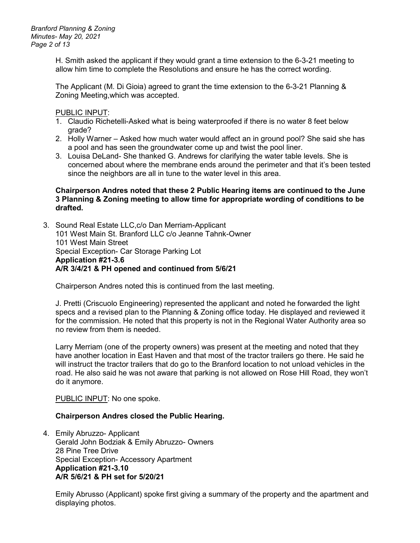H. Smith asked the applicant if they would grant a time extension to the 6-3-21 meeting to allow him time to complete the Resolutions and ensure he has the correct wording.

The Applicant (M. Di Gioia) agreed to grant the time extension to the 6-3-21 Planning & Zoning Meeting,which was accepted.

PUBLIC INPUT:

- 1. Claudio Richetelli-Asked what is being waterproofed if there is no water 8 feet below grade?
- 2. Holly Warner Asked how much water would affect an in ground pool? She said she has a pool and has seen the groundwater come up and twist the pool liner.
- 3. Louisa DeLand- She thanked G. Andrews for clarifying the water table levels. She is concerned about where the membrane ends around the perimeter and that it's been tested since the neighbors are all in tune to the water level in this area.

#### **Chairperson Andres noted that these 2 Public Hearing items are continued to the June 3 Planning & Zoning meeting to allow time for appropriate wording of conditions to be drafted.**

3. Sound Real Estate LLC,c/o Dan Merriam-Applicant 101 West Main St. Branford LLC c/o Jeanne Tahnk-Owner 101 West Main Street Special Exception- Car Storage Parking Lot **Application #21-3.6 A/R 3/4/21 & PH opened and continued from 5/6/21**

Chairperson Andres noted this is continued from the last meeting.

J. Pretti (Criscuolo Engineering) represented the applicant and noted he forwarded the light specs and a revised plan to the Planning & Zoning office today. He displayed and reviewed it for the commission. He noted that this property is not in the Regional Water Authority area so no review from them is needed.

Larry Merriam (one of the property owners) was present at the meeting and noted that they have another location in East Haven and that most of the tractor trailers go there. He said he will instruct the tractor trailers that do go to the Branford location to not unload vehicles in the road. He also said he was not aware that parking is not allowed on Rose Hill Road, they won't do it anymore.

PUBLIC INPUT: No one spoke.

# **Chairperson Andres closed the Public Hearing.**

4. Emily Abruzzo- Applicant Gerald John Bodziak & Emily Abruzzo- Owners 28 Pine Tree Drive Special Exception- Accessory Apartment **Application #21-3.10 A/R 5/6/21 & PH set for 5/20/21**

Emily Abrusso (Applicant) spoke first giving a summary of the property and the apartment and displaying photos.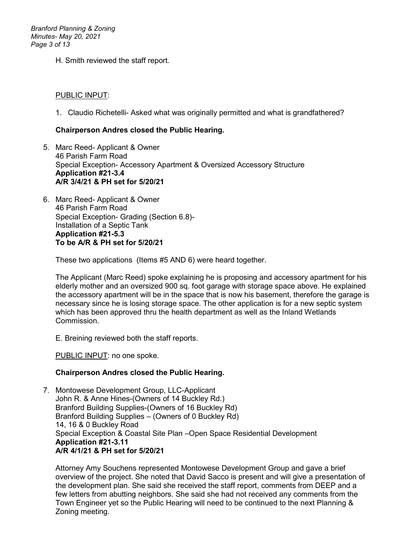*Branford Planning & Zoning Minutes- May 20, 2021 Page 3 of 13*

H. Smith reviewed the staff report.

# PUBLIC INPUT:

1. Claudio Richetelli- Asked what was originally permitted and what is grandfathered?

#### **Chairperson Andres closed the Public Hearing.**

- 5. Marc Reed- Applicant & Owner 46 Parish Farm Road Special Exception- Accessory Apartment & Oversized Accessory Structure **Application #21-3.4 A/R 3/4/21 & PH set for 5/20/21**
- 6. Marc Reed- Applicant & Owner 46 Parish Farm Road Special Exception- Grading (Section 6.8)- Installation of a Septic Tank **Application #21-5.3 To be A/R & PH set for 5/20/21**

These two applications (Items #5 AND 6) were heard together.

The Applicant (Marc Reed) spoke explaining he is proposing and accessory apartment for his elderly mother and an oversized 900 sq. foot garage with storage space above. He explained the accessory apartment will be in the space that is now his basement, therefore the garage is necessary since he is losing storage space. The other application is for a new septic system which has been approved thru the health department as well as the Inland Wetlands Commission.

E. Breining reviewed both the staff reports.

PUBLIC INPUT: no one spoke.

#### **Chairperson Andres closed the Public Hearing.**

7. Montowese Development Group, LLC-Applicant John R. & Anne Hines-(Owners of 14 Buckley Rd.) Branford Building Supplies-(Owners of 16 Buckley Rd) Branford Building Supplies – (Owners of 0 Buckley Rd) 14, 16 & 0 Buckley Road Special Exception & Coastal Site Plan –Open Space Residential Development **Application #21-3.11 A/R 4/1/21 & PH set for 5/20/21**

Attorney Amy Souchens represented Montowese Development Group and gave a brief overview of the project. She noted that David Sacco is present and will give a presentation of the development plan. She said she received the staff report, comments from DEEP and a few letters from abutting neighbors. She said she had not received any comments from the Town Engineer yet so the Public Hearing will need to be continued to the next Planning & Zoning meeting.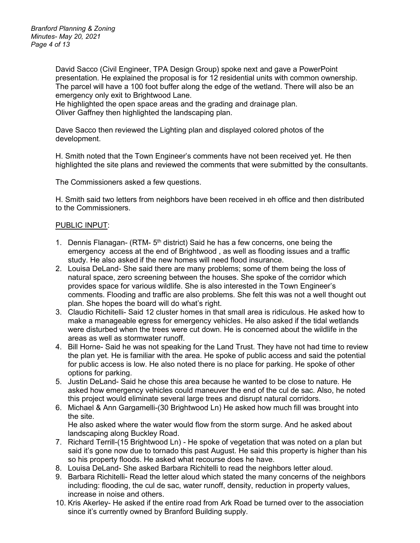David Sacco (Civil Engineer, TPA Design Group) spoke next and gave a PowerPoint presentation. He explained the proposal is for 12 residential units with common ownership. The parcel will have a 100 foot buffer along the edge of the wetland. There will also be an emergency only exit to Brightwood Lane.

He highlighted the open space areas and the grading and drainage plan. Oliver Gaffney then highlighted the landscaping plan.

Dave Sacco then reviewed the Lighting plan and displayed colored photos of the development.

H. Smith noted that the Town Engineer's comments have not been received yet. He then highlighted the site plans and reviewed the comments that were submitted by the consultants.

The Commissioners asked a few questions.

H. Smith said two letters from neighbors have been received in eh office and then distributed to the Commissioners.

# PUBLIC INPUT:

- 1. Dennis Flanagan- (RTM- 5<sup>th</sup> district) Said he has a few concerns, one being the emergency access at the end of Brightwood , as well as flooding issues and a traffic study. He also asked if the new homes will need flood insurance.
- 2. Louisa DeLand- She said there are many problems; some of them being the loss of natural space, zero screening between the houses. She spoke of the corridor which provides space for various wildlife. She is also interested in the Town Engineer's comments. Flooding and traffic are also problems. She felt this was not a well thought out plan. She hopes the board will do what's right.
- 3. Claudio Richitelli- Said 12 cluster homes in that small area is ridiculous. He asked how to make a manageable egress for emergency vehicles. He also asked if the tidal wetlands were disturbed when the trees were cut down. He is concerned about the wildlife in the areas as well as stormwater runoff.
- 4. Bill Horne- Said he was not speaking for the Land Trust. They have not had time to review the plan yet. He is familiar with the area. He spoke of public access and said the potential for public access is low. He also noted there is no place for parking. He spoke of other options for parking.
- 5. Justin DeLand- Said he chose this area because he wanted to be close to nature. He asked how emergency vehicles could maneuver the end of the cul de sac. Also, he noted this project would eliminate several large trees and disrupt natural corridors.
- 6. Michael & Ann Gargamelli-(30 Brightwood Ln) He asked how much fill was brought into the site. He also asked where the water would flow from the storm surge. And he asked about

landscaping along Buckley Road.

- 7. Richard Terrill-(15 Brightwood Ln) He spoke of vegetation that was noted on a plan but said it's gone now due to tornado this past August. He said this property is higher than his so his property floods. He asked what recourse does he have.
- 8. Louisa DeLand- She asked Barbara Richitelli to read the neighbors letter aloud.
- 9. Barbara Richitelli- Read the letter aloud which stated the many concerns of the neighbors including: flooding, the cul de sac, water runoff, density, reduction in property values, increase in noise and others.
- 10. Kris Akerley- He asked if the entire road from Ark Road be turned over to the association since it's currently owned by Branford Building supply.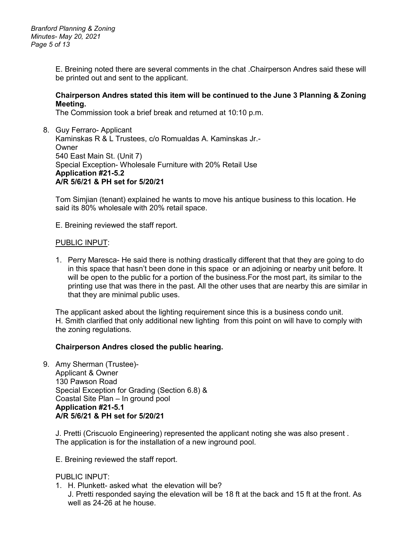E. Breining noted there are several comments in the chat .Chairperson Andres said these will be printed out and sent to the applicant.

# **Chairperson Andres stated this item will be continued to the June 3 Planning & Zoning Meeting.**

The Commission took a brief break and returned at 10:10 p.m.

8. Guy Ferraro- Applicant Kaminskas R & L Trustees, c/o Romualdas A. Kaminskas Jr.- **Owner** 540 East Main St. (Unit 7) Special Exception- Wholesale Furniture with 20% Retail Use **Application #21-5.2 A/R 5/6/21 & PH set for 5/20/21**

Tom Simjian (tenant) explained he wants to move his antique business to this location. He said its 80% wholesale with 20% retail space.

E. Breining reviewed the staff report.

#### PUBLIC INPUT:

1. Perry Maresca- He said there is nothing drastically different that that they are going to do in this space that hasn't been done in this space or an adjoining or nearby unit before. It will be open to the public for a portion of the business.For the most part, its similar to the printing use that was there in the past. All the other uses that are nearby this are similar in that they are minimal public uses.

The applicant asked about the lighting requirement since this is a business condo unit. H. Smith clarified that only additional new lighting from this point on will have to comply with the zoning regulations.

# **Chairperson Andres closed the public hearing.**

9. Amy Sherman (Trustee)- Applicant & Owner 130 Pawson Road Special Exception for Grading (Section 6.8) & Coastal Site Plan – In ground pool **Application #21-5.1 A/R 5/6/21 & PH set for 5/20/21**

J. Pretti (Criscuolo Engineering) represented the applicant noting she was also present . The application is for the installation of a new inground pool.

E. Breining reviewed the staff report.

# PUBLIC INPUT:

1. H. Plunkett- asked what the elevation will be? J. Pretti responded saying the elevation will be 18 ft at the back and 15 ft at the front. As well as 24-26 at he house.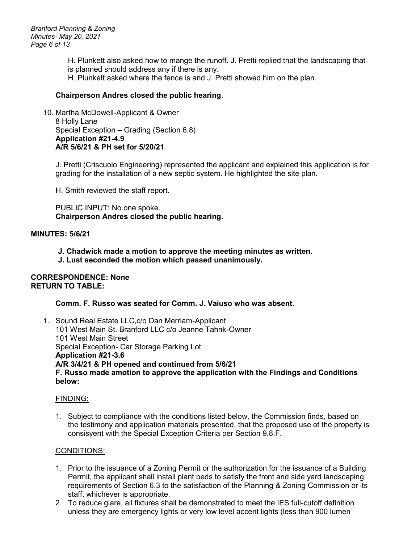*Branford Planning & Zoning Minutes- May 20, 2021 Page 6 of 13*

- H. Plunkett also asked how to mange the runoff. J. Pretti replied that the landscaping that
- is planned should address any if there is any.
- H. Plunkett asked where the fence is and J. Pretti showed him on the plan.

# **Chairperson Andres closed the public hearing**.

10. Martha McDowell-Applicant & Owner 8 Holly Lane Special Exception – Grading (Section 6.8) **Application #21-4.9 A/R 5/6/21 & PH set for 5/20/21**

J. Pretti (Criscuolo Engineering) represented the applicant and explained this application is for grading for the installation of a new septic system. He highlighted the site plan.

H. Smith reviewed the staff report.

PUBLIC INPUT: No one spoke. **Chairperson Andres closed the public hearing.**

# **MINUTES: 5/6/21**

- **J. Chadwick made a motion to approve the meeting minutes as written.**
- **J. Lust seconded the motion which passed unanimously.**

#### **CORRESPONDENCE: None RETURN TO TABLE:**

# **Comm. F. Russo was seated for Comm. J. Vaiuso who was absent.**

1. Sound Real Estate LLC,c/o Dan Merriam-Applicant 101 West Main St. Branford LLC c/o Jeanne Tahnk-Owner 101 West Main Street Special Exception- Car Storage Parking Lot **Application #21-3.6 A/R 3/4/21 & PH opened and continued from 5/6/21 F. Russo made amotion to approve the application with the Findings and Conditions below:**

# FINDING:

1. Subject to compliance with the conditions listed below, the Commission finds, based on the testimony and application materials presented, that the proposed use of the property is consisyent with the Special Exception Criteria per Section 9.8.F.

# CONDITIONS:

- 1. Prior to the issuance of a Zoning Permit or the authorization for the issuance of a Building Permit, the applicant shall install plant beds to satisfy the front and side yard landscaping requirements of Section 6.3 to the satisfaction of the Planning & Zoning Commission or its staff, whichever is appropriate.
- 2. To reduce glare, all fixtures shall be demonstrated to meet the IES full-cutoff definition unless they are emergency lights or very low level accent lights (less than 900 lumen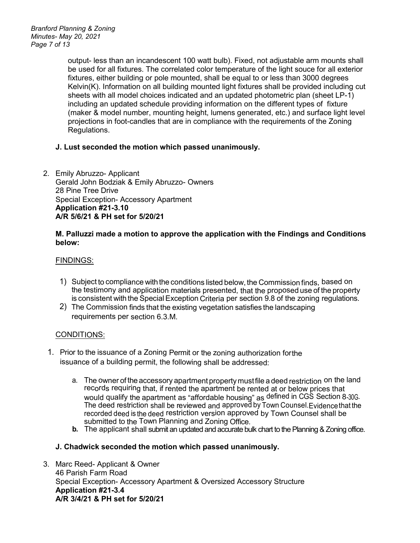*Branford Planning & Zoning Minutes- May 20, 2021 Page 7 of 13*

> output- less than an incandescent 100 watt bulb). Fixed, not adjustable arm mounts shall be used for all fixtures. The correlated color temperature of the light souce for all exterior fixtures, either building or pole mounted, shall be equal to or less than 3000 degrees Kelvin(K). Information on all building mounted light fixtures shall be provided including cut sheets with all model choices indicated and an updated photometric plan (sheet LP-1) including an updated schedule providing information on the different types of fixture (maker & model number, mounting height, lumens generated, etc.) and surface light level projections in foot-candles that are in compliance with the requirements of the Zoning Regulations.

# **J. Lust seconded the motion which passed unanimously.**

2. Emily Abruzzo- Applicant Gerald John Bodziak & Emily Abruzzo- Owners 28 Pine Tree Drive Special Exception- Accessory Apartment **Application #21-3.10 A/R 5/6/21 & PH set for 5/20/21**

### **M. Palluzzi made a motion to approve the application with the Findings and Conditions below:**

# FINDINGS:

- 1) Subject to compliance withthe conditions listed below, the Commission finds, based on the testimony and application materials presented, that the proposed use of the property is consistent with the Special Exception Criteria per section 9.8 of the zoning regulations.
- 2) The Commission finds that the existing vegetation satisfies the landscaping requirements per section 6.3.M.

# CONDITIONS:

- 1. Prior to the issuance of a Zoning Permit or the zoning authorization forthe issuance of a building permit, the following shall be addressed:
	- a. The owner of the accessory apartment propertymustfile a deed restriction on the land records requiring that, if rented the apartment be rented at or below prices that would qualify the apartment as "affordable housing" as defined in CGS Section 8-30G*.* The deed restriction shall be reviewed and approved by Town Counsel.Evidencethat the recorded deed is the deed restriction version approved by Town Counsel shall be submitted to the Town Planning and Zoning Office.
	- **b.** The applicant shall submit an updated and accurate bulk chart to the Planning & Zoning office.

# **J. Chadwick seconded the motion which passed unanimously.**

3. Marc Reed- Applicant & Owner 46 Parish Farm Road Special Exception- Accessory Apartment & Oversized Accessory Structure **Application #21-3.4 A/R 3/4/21 & PH set for 5/20/21**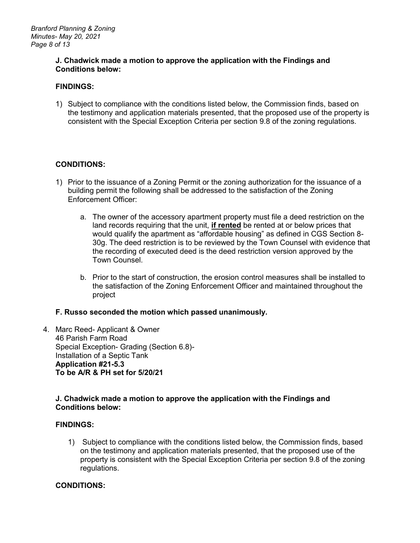### **J. Chadwick made a motion to approve the application with the Findings and Conditions below:**

# **FINDINGS:**

1) Subject to compliance with the conditions listed below, the Commission finds, based on the testimony and application materials presented, that the proposed use of the property is consistent with the Special Exception Criteria per section 9.8 of the zoning regulations.

# **CONDITIONS:**

- 1) Prior to the issuance of a Zoning Permit or the zoning authorization for the issuance of a building permit the following shall be addressed to the satisfaction of the Zoning Enforcement Officer:
	- a. The owner of the accessory apartment property must file a deed restriction on the land records requiring that the unit, **if rented** be rented at or below prices that would qualify the apartment as "affordable housing" as defined in CGS Section 8- 30g. The deed restriction is to be reviewed by the Town Counsel with evidence that the recording of executed deed is the deed restriction version approved by the Town Counsel.
	- b. Prior to the start of construction, the erosion control measures shall be installed to the satisfaction of the Zoning Enforcement Officer and maintained throughout the project

# **F. Russo seconded the motion which passed unanimously.**

4. Marc Reed- Applicant & Owner 46 Parish Farm Road Special Exception- Grading (Section 6.8)- Installation of a Septic Tank **Application #21-5.3 To be A/R & PH set for 5/20/21**

#### **J. Chadwick made a motion to approve the application with the Findings and Conditions below:**

# **FINDINGS:**

1) Subject to compliance with the conditions listed below, the Commission finds, based on the testimony and application materials presented, that the proposed use of the property is consistent with the Special Exception Criteria per section 9.8 of the zoning regulations.

# **CONDITIONS:**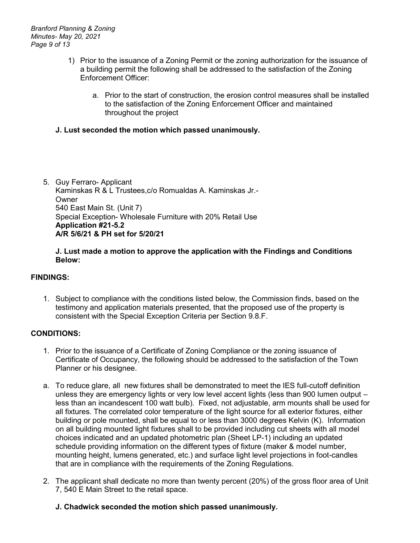*Branford Planning & Zoning Minutes- May 20, 2021 Page 9 of 13*

- 1) Prior to the issuance of a Zoning Permit or the zoning authorization for the issuance of a building permit the following shall be addressed to the satisfaction of the Zoning Enforcement Officer:
	- a. Prior to the start of construction, the erosion control measures shall be installed to the satisfaction of the Zoning Enforcement Officer and maintained throughout the project

# **J. Lust seconded the motion which passed unanimously.**

5. Guy Ferraro- Applicant Kaminskas R & L Trustees,c/o Romualdas A. Kaminskas Jr.- **Owner** 540 East Main St. (Unit 7) Special Exception- Wholesale Furniture with 20% Retail Use **Application #21-5.2 A/R 5/6/21 & PH set for 5/20/21**

**J. Lust made a motion to approve the application with the Findings and Conditions Below:**

# **FINDINGS:**

1. Subject to compliance with the conditions listed below, the Commission finds, based on the testimony and application materials presented, that the proposed use of the property is consistent with the Special Exception Criteria per Section 9.8.F.

# **CONDITIONS:**

- 1. Prior to the issuance of a Certificate of Zoning Compliance or the zoning issuance of Certificate of Occupancy, the following should be addressed to the satisfaction of the Town Planner or his designee.
- a. To reduce glare, all new fixtures shall be demonstrated to meet the IES full-cutoff definition unless they are emergency lights or very low level accent lights (less than 900 lumen output – less than an incandescent 100 watt bulb). Fixed, not adjustable, arm mounts shall be used for all fixtures. The correlated color temperature of the light source for all exterior fixtures, either building or pole mounted, shall be equal to or less than 3000 degrees Kelvin (K). Information on all building mounted light fixtures shall to be provided including cut sheets with all model choices indicated and an updated photometric plan (Sheet LP-1) including an updated schedule providing information on the different types of fixture (maker & model number, mounting height, lumens generated, etc.) and surface light level projections in foot-candles that are in compliance with the requirements of the Zoning Regulations.
- 2. The applicant shall dedicate no more than twenty percent (20%) of the gross floor area of Unit 7, 540 E Main Street to the retail space.
	- **J. Chadwick seconded the motion shich passed unanimously.**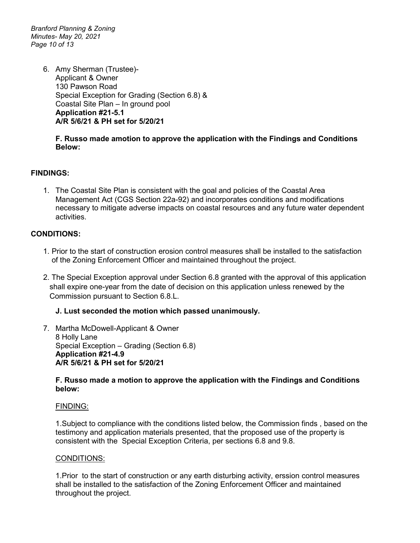*Branford Planning & Zoning Minutes- May 20, 2021 Page 10 of 13*

> 6. Amy Sherman (Trustee)- Applicant & Owner 130 Pawson Road Special Exception for Grading (Section 6.8) & Coastal Site Plan – In ground pool **Application #21-5.1 A/R 5/6/21 & PH set for 5/20/21**

# **F. Russo made amotion to approve the application with the Findings and Conditions Below:**

# **FINDINGS:**

1. The Coastal Site Plan is consistent with the goal and policies of the Coastal Area Management Act (CGS Section 22a-92) and incorporates conditions and modifications necessary to mitigate adverse impacts on coastal resources and any future water dependent activities.

### **CONDITIONS:**

- 1. Prior to the start of construction erosion control measures shall be installed to the satisfaction of the Zoning Enforcement Officer and maintained throughout the project.
- 2. The Special Exception approval under Section 6.8 granted with the approval of this application shall expire one-year from the date of decision on this application unless renewed by the Commission pursuant to Section 6.8.L.

# **J. Lust seconded the motion which passed unanimously.**

7. Martha McDowell-Applicant & Owner 8 Holly Lane Special Exception – Grading (Section 6.8) **Application #21-4.9 A/R 5/6/21 & PH set for 5/20/21**

#### **F. Russo made a motion to approve the application with the Findings and Conditions below:**

#### FINDING:

1.Subject to compliance with the conditions listed below, the Commission finds , based on the testimony and application materials presented, that the proposed use of the property is consistent with the Special Exception Criteria, per sections 6.8 and 9.8.

#### CONDITIONS:

1.Prior to the start of construction or any earth disturbing activity, erssion control measures shall be installed to the satisfaction of the Zoning Enforcement Officer and maintained throughout the project.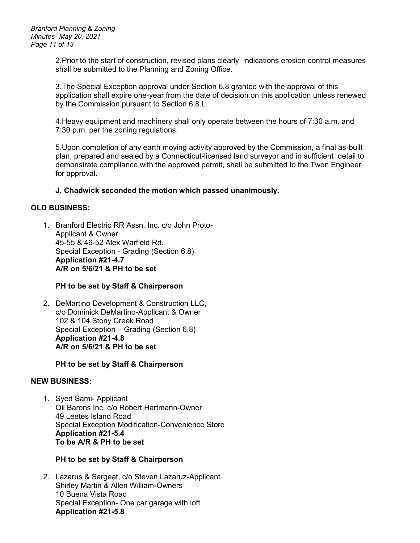2.Prior to the start of construction, revised plans clearly indications erosion control measures shall be submitted to the Planning and Zoning Office.

3.The Special Exception approval under Section 6.8 granted with the approval of this application shall expire one-year from the date of decision on this application unless renewed by the Commission pursuant to Section 6.8.L.

4.Heavy equipment and machinery shall only operate between the hours of 7:30 a.m. and 7:30 p.m. per the zoning regulations.

5.Upon completion of any earth moving activity approved by the Commission, a final as-built plan, prepared and sealed by a Connecticut-licensed land surveyor and in sufficient detail to demonstrate compliance with the approved permit, shall be submitted to the Twon Engineer for approval.

# **J. Chadwick seconded the motion which passed unanimously.**

# **OLD BUSINESS:**

1. Branford Electric RR Assn, Inc. c/o John Proto-Applicant & Owner 45-55 & 46-52 Alex Warfield Rd. Special Exception - Grading (Section 6.8) **Application #21-4.7 A/R on 5/6/21 & PH to be set** 

# **PH to be set by Staff & Chairperson**

2. DeMartino Development & Construction LLC, c/o Dominick DeMartino-Applicant & Owner 102 & 104 Stony Creek Road Special Exception – Grading (Section 6.8) **Application #21-4.8 A/R on 5/6/21 & PH to be set**

**PH to be set by Staff & Chairperson**

# **NEW BUSINESS:**

1. Syed Sami- Applicant Oil Barons Inc. c/o Robert Hartmann-Owner 49 Leetes Island Road Special Exception Modification-Convenience Store **Application #21-5.4 To be A/R & PH to be set**

# **PH to be set by Staff & Chairperson**

2. Lazarus & Sargeat, c/o Steven Lazaruz-Applicant Shirley Martin & Allen William-Owners 10 Buena Vista Road Special Exception- One car garage with loft **Application #21-5.8**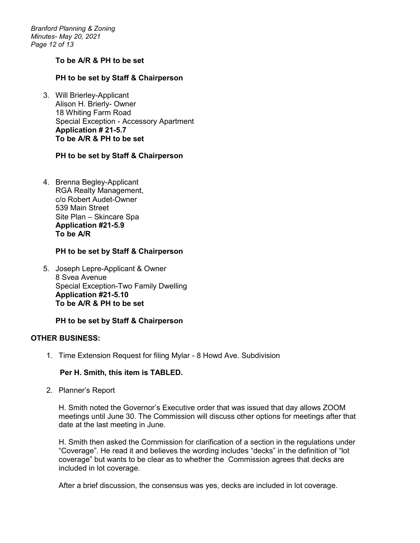*Branford Planning & Zoning Minutes- May 20, 2021 Page 12 of 13*

#### **To be A/R & PH to be set**

#### **PH to be set by Staff & Chairperson**

3. Will Brierley-Applicant Alison H. Brierly- Owner 18 Whiting Farm Road Special Exception - Accessory Apartment **Application # 21-5.7 To be A/R & PH to be set**

#### **PH to be set by Staff & Chairperson**

4. Brenna Begley-Applicant RGA Realty Management, c/o Robert Audet-Owner 539 Main Street Site Plan – Skincare Spa **Application #21-5.9 To be A/R**

#### **PH to be set by Staff & Chairperson**

5. Joseph Lepre-Applicant & Owner 8 Svea Avenue Special Exception-Two Family Dwelling **Application #21-5.10 To be A/R & PH to be set** 

**PH to be set by Staff & Chairperson**

# **OTHER BUSINESS:**

1. Time Extension Request for filing Mylar - 8 Howd Ave. Subdivision

# **Per H. Smith, this item is TABLED.**

2. Planner's Report

H. Smith noted the Governor's Executive order that was issued that day allows ZOOM meetings until June 30. The Commission will discuss other options for meetings after that date at the last meeting in June.

H. Smith then asked the Commission for clarification of a section in the regulations under "Coverage". He read it and believes the wording includes "decks" in the definition of "lot coverage" but wants to be clear as to whether the Commission agrees that decks are included in lot coverage.

After a brief discussion, the consensus was yes, decks are included in lot coverage.